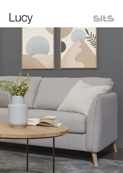



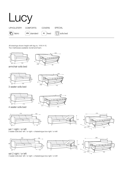

All drawings shown height with leg no. 141A H-15. Two mattresses available: bonell and foam.





armchair sofa bed





3 seater sofa bed















set 2 right / or left 4 seater sofa bed left / or right + chaiselongue box right / or left